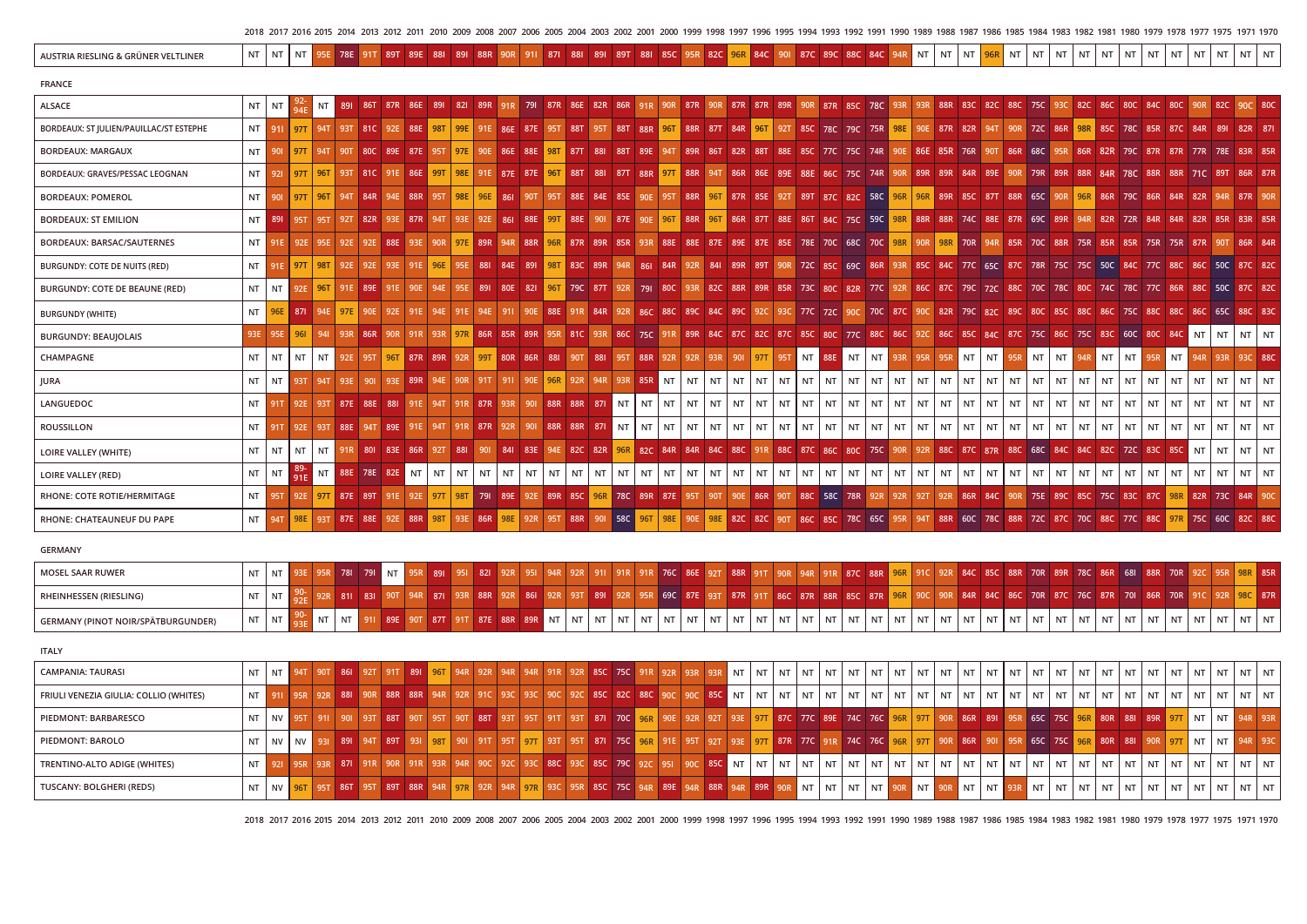|                                         |           |           |            |            |            |            |            |              |            |                 |             |            |                     |            |            |            |            |             |           |            |            |             |                 |                 |                     |                     |            |                         |                          |                 |           |                 |                 |                         |           |           |            |             |                 |            |           | 2018 2017 2016 2015 2014 2013 2012 2011 2010 2009 2008 2007 2006 2005 2004 2003 2002 2001 2000 1999 1998 1997 1996 1995 1994 1993 1992 1991 1990 1989 1983 1983 1984 1983 1984 1983 1982 1981 1980 1979 1978 1977 1975 1971 197 |           |           |
|-----------------------------------------|-----------|-----------|------------|------------|------------|------------|------------|--------------|------------|-----------------|-------------|------------|---------------------|------------|------------|------------|------------|-------------|-----------|------------|------------|-------------|-----------------|-----------------|---------------------|---------------------|------------|-------------------------|--------------------------|-----------------|-----------|-----------------|-----------------|-------------------------|-----------|-----------|------------|-------------|-----------------|------------|-----------|---------------------------------------------------------------------------------------------------------------------------------------------------------------------------------------------------------------------------------|-----------|-----------|
| AUSTRIA RIESLING & GRÜNER VELTLINER     | <b>NT</b> | NT        | <b>NT</b>  | 95E        | 78E        |            | 89T        | 89E          | 881        | 891             | 88R         | 90R        | 911                 | 871        | 881        | 891        | 89T        | 881         | 85C       | 95R        | 82C        | 96R         | 84C             | 901             |                     |                     |            | 87C 89C 88C 84C 94R     | NT                       |                 |           | NT NT 96R       | NT              | <b>NT</b>               | NT I      | NT        | <b>NT</b>  | <b>NT</b>   | <b>NT</b>       | <b>NT</b>  | <b>NT</b> | <b>NT</b>                                                                                                                                                                                                                       | NT        | <b>NT</b> |
| <b>FRANCE</b>                           |           |           |            |            |            |            |            |              |            |                 |             |            |                     |            |            |            |            |             |           |            |            |             |                 |                 |                     |                     |            |                         |                          |                 |           |                 |                 |                         |           |           |            |             |                 |            |           |                                                                                                                                                                                                                                 |           |           |
| <b>ALSACE</b>                           | NT        | <b>NT</b> |            | <b>NT</b>  | 891        |            | 86T 87R    | 86E          | 891        | 821             | 89R         | 91R        | 791 87R 86E 82R 86R |            |            |            |            | 91R         | 90R       | 87R        | 90R        | 87R 87R 89R |                 |                 | 90R                 | 87R 85C 78C         |            | 93R                     |                          |                 |           |                 |                 | 93R 88R 83C 82C 88C 75C |           | 82C       | 86C        | 80C 84C 80C |                 |            |           | 82C                                                                                                                                                                                                                             | 90C 80C   |           |
| BORDEAUX: ST JULIEN/PAUILLAC/ST ESTEPHE | <b>NT</b> | 911       | <b>97T</b> | <b>94T</b> | 93T        | 81C        | 92E        | 88E          | <b>98T</b> | 99E             |             | 86E        | 87E                 | 951        | <b>88T</b> | 95T        |            | 88T 88R     | 96T       | <b>88R</b> | 87T 84R    |             | 96T             |                 |                     |                     |            | 92T 85C 78C 79C 75R 98E |                          | 90E 87R 82R 94T |           |                 | 90R             |                         | 72C 86R   | 98R       | 85C 78C    |             | <b>85R</b>      | 87C        |           | RQ                                                                                                                                                                                                                              | 82R 87I   |           |
| <b>BORDEAUX: MARGAUX</b>                | <b>NT</b> |           | 97T        |            |            | 80C        |            | 87E          | <b>95T</b> | 97E             |             | 86E        | 88E                 | -981       | <b>87T</b> | 881        | 88T        | 89E         |           |            |            | 82R         | - 88T           | 88E             | 85C                 | <b>77C</b>          | 75C 74R    |                         | 90E<br>86E               | 85R             | - 76R     | 90T             | 86R             | 68C                     |           | 86R       | <b>82R</b> |             |                 |            |           |                                                                                                                                                                                                                                 |           |           |
| BORDEAUX: GRAVES/PESSAC LEOGNAN         | <b>NT</b> | 921       | <b>97T</b> | 96T        | 93T        | 81C        | 91E        | 86E          | <b>99T</b> | 98E             | 91E         | 87E        | 87E                 | 961        | <b>88T</b> | -88        | 87T        | 88R         | 97T       | <b>88R</b> | <b>94T</b> | 86R         |                 | 89E             | 88E                 | 86C                 | 75C        | 74R<br>90 <sub>R</sub>  | 89R                      | 89R             | 84R       | 89E             | 90 <sub>R</sub> | 79R                     |           |           |            |             |                 |            |           |                                                                                                                                                                                                                                 | 86R 87R   |           |
| <b>BORDEAUX: POMEROL</b>                | <b>NT</b> |           | <b>97T</b> | <b>96T</b> | 941        | <b>84R</b> |            | <b>88R</b>   | <b>95T</b> | 98E             | 96E         | 861        | <b>90T</b>          | 951        | 88E        |            | 84E 85E    | 90F         | 95T       | 88R        | <b>96T</b> | 87R 85E     |                 | 92T             |                     | 89T 87C 82C 58C     |            |                         | <b>96R</b><br>96R        |                 |           | 89R 85C 87T 88R |                 | 65C                     |           | 96R       | <b>86R</b> | <b>79C</b>  | <b>86R</b>      | 84R        | 82R       |                                                                                                                                                                                                                                 | 87R       | 90R       |
| <b>BORDEAUX: ST EMILION</b>             | <b>NT</b> | 891       | 95T        | 95T        | <b>92T</b> | 82R        | 93F        | 87R          | <b>94T</b> | 93E             | 92E         | 861        | 88E                 | 99T        | 88E        | 901        | 87E        | 90E         | 96T       | 88R        | <b>96T</b> | 86R 87T     |                 |                 |                     | 88E 86T 84C 75C 59C |            |                         | 98R 88R 88R              |                 |           |                 |                 | 74C 88E 87R 69C 89R     |           | 94R       | 82R        | 72R         | 84R             | 84R        | 82R       | 85R                                                                                                                                                                                                                             | 83R 85R   |           |
| BORDEAUX: BARSAC/SAUTERNES              | <b>NT</b> | 91E       | 92E        | 95E        | 92E        | 92E        | <b>88E</b> | 93E          | 90F        | 97E             | 89R         | 94F        | 88R                 | 96R        | 87R        | 89R        | 85R        | 93R         | 88E       | 88E        | 87E        | 89E         | -87E            | 85E             |                     | 78E 70C 68C 70C     |            |                         | <b>98R</b><br>90R        | <b>98R</b>      | 70R       | 94R             |                 | 85R 70C 88R             |           | 75R       | 85R        | 85R         | 75R             | 75R        | 87R       |                                                                                                                                                                                                                                 | 86R 84R   |           |
| BURGUNDY: COTE DE NUITS (RED)           | NT        | 91E       | 97T        | <b>98T</b> | 92E        | 92E        | 93F        | 91E          | 96E        | 95F             | 881         | 84E        | 891                 | <b>98T</b> | 83C        | 89R        | 94R        | 861         | 84R       | 92R        | 841        | - 89R       | - 89T           |                 | 72C                 | 85C                 | 69C 86R    | 93R                     |                          | 85C 84C 77C     |           | 65C             | - 87 C          | 78R                     | 75C       | 75C       | <b>50C</b> |             | - 77 C          | -880       | - 860     | 50C                                                                                                                                                                                                                             | 87C 82C   |           |
| BURGUNDY: COTE DE BEAUNE (RED)          | NT        | <b>NT</b> | 92E        | 96T        | 91 E       | 89E        |            |              | 94F        |                 | -891        | - 80E      | 821                 | 96T        | 79C        | <b>87T</b> | 92R        | 791         | -80C      | 93R        | 82C        | 88R 89R     |                 | 85R             | -73C                | 80C                 | 82R        | 92R<br>-77C             | -86C                     | - 87C           | - 790     | -720            |                 |                         | -78C      |           |            |             |                 |            | -880      | 50C                                                                                                                                                                                                                             | 87C 82C   |           |
| <b>BURGUNDY (WHITE)</b>                 | NT        | 96E       | 871        | 94F        | 97E        |            |            |              | 94E        |                 |             |            |                     | 88E        |            | 84R        | 92R        | 86C         | 88C       | 89C        | 84C        | 89C         |                 |                 | 77C                 | 72C                 |            | 70C 87C                 |                          | 82R             |           | <b>820</b>      |                 |                         |           |           |            |             |                 | 88C        | -86C      | 65C                                                                                                                                                                                                                             | 88C 83C   |           |
| <b>BURGUNDY: BEAUJOLAIS</b>             | 93E       | 95E       | 961        |            | 93F        | <b>86R</b> |            | 91R          | 93R        | 97 <sub>R</sub> | 86R         | 85R 89R    |                     | 95R        | 81C        | 93R        | 86C        | 75C         | 91R       | 89R        | 84C        |             |                 |                 | 87C 82C 87C 85C 80C |                     | 77C        | 86C<br>-88C             | -92C                     | -860            | -850      | 84C             | -87C            | 75C                     | -86C      | 75C       | -83C       | -60C        | -80C            | -840       | NT        | NT                                                                                                                                                                                                                              | NT        | NT        |
| CHAMPAGNE                               | <b>NT</b> | <b>NT</b> | <b>NT</b>  | <b>NT</b>  | 92E        | 95T        | 96T        | 87R          | 89R        | 92R             | <b>99T</b>  | <b>80R</b> | 86R                 | 881        | <b>90T</b> | 881        | 95T        | 88R         | 92R       | 92R        | 93R        | 901         | 971             | 951             | <b>NT</b>           | <b>88F</b>          | <b>NT</b>  | <b>NT</b>               | 95R<br>93R               |                 | NT        | <b>NT</b>       |                 | <b>NT</b>               | <b>NT</b> |           | <b>NT</b>  | NT          |                 | <b>NT</b>  |           | 93R                                                                                                                                                                                                                             | 93C 88C   |           |
| <b>JURA</b>                             | <b>NT</b> | <b>NT</b> | 93T        | <b>94T</b> | 93E        | 901        | 93F        | 89R          | <b>94E</b> |                 |             | 91         | <b>90F</b>          | 96R        | 92R        | 94R        | 93R        | 85R         | <b>NT</b> | <b>NT</b>  | NT         | NT          | <b>NT</b>       | NT              | <b>NT</b>           | <b>NT</b>           | <b>NT</b>  | <b>NT</b><br><b>NT</b>  | <b>NT</b>                | <b>NT</b>       | NT        | <b>NT</b>       | <b>NT</b>       | <b>NT</b>               |           | $NT$ NT   | <b>NT</b>  |             | $NT$ NT $NT$    |            | NT        | <b>NT</b>                                                                                                                                                                                                                       | $NT$ $NT$ |           |
| LANGUEDOC                               | NT        |           | 92E        | 93T        | 87E        | 88E        | 88         | 91E          | 94T        |                 | 87R         | 93F        | 901                 | <b>88R</b> | 88R        | 871        | <b>NT</b>  | <b>NT</b>   | <b>NT</b> | <b>NT</b>  | <b>NT</b>  | $\sf{NT}$   | NT              | <b>NT</b>       | <b>NT</b>           | NT                  | <b>NT</b>  | <b>NT</b>               | <b>NT</b><br>NT          | <b>NT</b>       | <b>NT</b> | NT              | NT              | NT                      | <b>NT</b> | NT        | <b>NT</b>  | NT          | <b>NT</b>       | <b>NT</b>  | <b>NT</b> | NT                                                                                                                                                                                                                              | <b>NT</b> | <b>NT</b> |
| <b>ROUSSILLON</b>                       | NT        | 1T        | 92E        | 93T        | 88E        | <b>94T</b> | 89E        | 91E          | <b>94T</b> | 91R             | 87R         | 92R        | 901                 | 88R        | 88R        | 87         | <b>NT</b>  | NT          | <b>NT</b> | <b>NT</b>  | <b>NT</b>  | <b>NT</b>   | NT              | <b>NT</b>       | <b>NT</b>           | <b>NT</b>           | <b>NT</b>  | <b>NT</b><br><b>NT</b>  | <b>NT</b>                | <b>NT</b>       | <b>NT</b> | <b>NT</b>       | <b>NT</b>       | <b>NT</b>               | <b>NT</b> | <b>NT</b> | <b>NT</b>  | <b>NT</b>   | NT              | <b>NT</b>  | <b>NT</b> | <b>NT</b>                                                                                                                                                                                                                       | <b>NT</b> | <b>NT</b> |
| LOIRE VALLEY (WHITE)                    | <b>NT</b> | <b>NT</b> |            | $NT$ NT    | 91 R       | 801        | 83E        | 86R          | <b>92T</b> |                 |             | 841        | 83E                 |            | 82C        | 82R        | <b>96R</b> |             | 82C 84R   | 84R        | 84C        | 88C         | 91 <sub>R</sub> | 88C             | 87C                 | 86C                 | 80C        | 75C                     |                          | 88C             | 87C       | 87R             |                 | 68C                     | 840       | 840       | 82C        | 72C         | 83C             | 850        | <b>NT</b> | <b>NT</b>                                                                                                                                                                                                                       | $NT$ NT   |           |
| <b>LOIRE VALLEY (RED)</b>               | <b>NT</b> | <b>NT</b> |            | NT         | 88E        |            | 78E 82E    | NT           | <b>NT</b>  | <b>NT</b>       | <b>NT</b>   | <b>NT</b>  | <b>NT</b>           | <b>NT</b>  | <b>NT</b>  | <b>NT</b>  | <b>NT</b>  | <b>NT</b>   | <b>NT</b> | NT         | NT         | <b>NT</b>   | <b>NT</b>       | NT              | NT                  | NT                  | NT         | NT                      | <b>NT</b><br><b>NT</b>   | NT              | NT        | NT              | <b>NT</b>       | <b>NT</b>               | <b>NT</b> | <b>NT</b> | <b>NT</b>  | NT          | <b>NT</b>       | <b>NT</b>  | <b>NT</b> | <b>NT</b>                                                                                                                                                                                                                       | <b>NT</b> | <b>NT</b> |
| RHONE: COTE ROTIE/HERMITAGE             | NT        | 95T       |            | 92E 97T    | 87E 89T    |            | 91E        | 92E          | <b>97T</b> | <b>98T</b>      | 791         | 89E        | 92E                 |            | 89R 85C    | 96R        | 78C        | 89R         | 87E       | 95T        | <b>90T</b> | 90E         | 86R             | 90T             | 88C                 | 58C 78R             |            | 92R<br>92R              | 92T                      | 92R             | 86R       | 84C             |                 | 75E                     | 89C       | 85C       |            | 75C 83C 87C |                 | <b>98R</b> |           | 82R 73C 84R 90C                                                                                                                                                                                                                 |           |           |
| RHONE: CHATEAUNEUF DU PAPE              | <b>NT</b> | 94T       | 98E        | 93T        | 87E 88E    |            | 92E        | 88R          | <b>98T</b> | 93E             | 86R         | 98E        | 92R                 | <b>95T</b> | <b>88R</b> | -901       | 58C        | <b>96T</b>  | 98E       | 90E        | <b>98E</b> | 82C 82C     |                 | 90T             |                     | 86C 85C 78C 65C     |            | 95R                     | 94T                      |                 |           | 88R 60C 78C 88R |                 | 72C 87C                 |           | 70C       |            | 88C 77C 88C |                 | 97R        |           | 75C 60C 82C 88C                                                                                                                                                                                                                 |           |           |
| <b>GERMANY</b>                          |           |           |            |            |            |            |            |              |            |                 |             |            |                     |            |            |            |            |             |           |            |            |             |                 |                 |                     |                     |            |                         |                          |                 |           |                 |                 |                         |           |           |            |             |                 |            |           |                                                                                                                                                                                                                                 |           |           |
| MOSEL SAAR RUWER                        | <b>NT</b> | NT        |            | 95F        | 781        | 791        | NT         |              | 891        |                 | 821         | 92R        | 951                 |            |            |            | 91R        |             | 76C       | 86E        | 92T        | <b>88R</b>  |                 | 90 <sub>R</sub> | 94R                 |                     | 87C        | 88R                     | <b>96R</b>               |                 | 84C       | -850            |                 |                         |           |           |            |             | <b>88R</b>      | <b>70R</b> |           | 95R                                                                                                                                                                                                                             | 98R 85R   |           |
| RHEINHESSEN (RIESLING)                  | <b>NT</b> | <b>NT</b> |            | 92R        | 811        | 831        | 90T        | 94R          | 871        | 93R             | 88R         | 92R        | 861                 | 92R        | 93T        | 891        | 92R        | 95R         |           | 69C 87E    | <b>93T</b> | 87R         |                 | 86C             | 87R                 | <b>R8R</b>          | <b>85C</b> | <b>96R</b><br>87R       | 90C                      |                 |           |                 |                 |                         | -870      |           |            |             |                 | 70R        | 91C       | 92R                                                                                                                                                                                                                             | 98C       | 87R       |
| GERMANY (PINOT NOIR/SPÄTBURGUNDER)      | NT        | <b>NT</b> |            | NT         | <b>NT</b>  | 911        | 89E        | 90T          | <b>87T</b> | 91T             | 87E 88R 89R |            |                     | <b>NT</b>  | <b>NT</b>  | <b>NT</b>  | <b>NT</b>  | NT          | <b>NT</b> | NT         | <b>NT</b>  | NT          | NT              | NT              | NT                  | NT                  | <b>NT</b>  | <b>NT</b>               | <b>NT</b><br><b>NT</b>   | <b>NT</b>       | <b>NT</b> | NT              | <b>NT</b>       | NT                      | NT        | NT        | NT         | NT          | NT              | <b>NT</b>  | <b>NT</b> | <b>NT</b>                                                                                                                                                                                                                       | <b>NT</b> | <b>NT</b> |
| <b>ITALY</b>                            |           |           |            |            |            |            |            |              |            |                 |             |            |                     |            |            |            |            |             |           |            |            |             |                 |                 |                     |                     |            |                         |                          |                 |           |                 |                 |                         |           |           |            |             |                 |            |           |                                                                                                                                                                                                                                 |           |           |
| <b>CAMPANIA: TAURASI</b>                | NT        | <b>NT</b> |            |            | 861        |            |            | 89           | <b>96T</b> |                 |             |            |                     |            |            | 85C        | 75C        | 91R         | 92R       | 93R        | 93R        | NT          | NT              | NT              | NT                  | <b>NT</b>           | NT         | <b>NT</b><br>NT         | <b>NT</b>                | <b>NT</b>       | <b>NT</b> | <b>NT</b>       | <b>NT</b>       | <b>NT</b>               | <b>NT</b> | <b>NT</b> | <b>NT</b>  | NT          | NT NT           |            | <b>NT</b> | <b>NT</b>                                                                                                                                                                                                                       | $NT$ NT   |           |
| FRIULI VENEZIA GIULIA: COLLIO (WHITES)  | <b>NT</b> | 911       | 95R        | 92R        | 881        | 90R        | <b>88R</b> | 88R          | 94R        | 92R             | 91C         | 93C        | 93C                 | 90C        | 92C        |            |            | 85C 82C 88C | 90C       | 90C        | 85C        | <b>NT</b>   | <b>NT</b>       | NT              | <b>NT</b>           | NT                  | <b>NT</b>  | NT                      | NT<br>NT                 |                 | NT        | NT              | <b>NT</b>       | <b>NT</b>               | <b>NT</b> | NT        | <b>NT</b>  | <b>NT</b>   | <b>NT</b>       | <b>NT</b>  | NT        | <b>NT</b>                                                                                                                                                                                                                       | <b>NT</b> | <b>NT</b> |
| PIEDMONT: BARBARESCO                    | NT        | <b>NV</b> | 95T        | 91         | 901        | 93T        | <b>88T</b> | $90^{\circ}$ | <b>95T</b> | 90T             | <b>88T</b>  | 931        | <b>95T</b>          | 91T        | 93T        | 871        | 70C        | <b>96R</b>  | 90E       | 92R        | <b>92T</b> | 93E         | <b>97T</b>      | 87C             | 77C                 | 89E                 | 74C 76C    |                         | <b>96R</b><br><b>97T</b> |                 | 86R       | 891             |                 |                         | 65C 75C   | 96R       | <b>80R</b> | 881         | 89R             | 971        | NT        | <b>NT</b>                                                                                                                                                                                                                       | 94R       | 93R       |
| PIEDMONT: BAROLO                        | <b>NT</b> | <b>NV</b> | <b>NV</b>  | 931        | 891        | 94T        | 89T        | 93           | <b>98T</b> |                 |             | <b>95T</b> | 971                 | 93T        | 95T        | 871        | 75C        | 96R         | 91E       | <b>95T</b> | <b>92T</b> | 93E         | <b>97T</b>      | 87R 77C         |                     | 91 <sub>R</sub>     | 74C 76C    |                         | <b>96R</b><br><b>97T</b> | <b>90R</b>      | 86R       | 901             | 95R             |                         | 65C 75C   | 96R       | <b>80R</b> | 881         | 90 <sub>R</sub> | 971        | <b>NT</b> | <b>NT</b>                                                                                                                                                                                                                       | 94R       | 93C       |
| TRENTINO-ALTO ADIGE (WHITES)            | NT        | 921       | 95R        | 931        | 871        |            |            |              | 93R        |                 |             | 920        |                     | 88C        |            | 85C        | 79C        | 92C         | 951       |            | 85C        | NT          | NT              | NT              | NT                  | <b>NT</b>           | NT         | NT<br>NT                | NT                       | <b>NT</b>       | <b>NT</b> | NT              | <b>NT</b>       | NT                      | NT        | <b>NT</b> | <b>NT</b>  | NT          | <b>NT</b>       | <b>NT</b>  | <b>NT</b> | <b>NT</b>                                                                                                                                                                                                                       | <b>NT</b> | <b>NT</b> |

**TUSCANY: BOLGHERI (REDS) 95T 86T 95T 89T 88R 94R 92R 94R 93C 95R 85C 75C 94R 89E 94R 88R 94R 89R 90R NT NT NT NT 90R NT 90R NT NT 93R NT NT NT NT NT NT NT NT NT NT NT**

**96T 97R 97R**

**NT NV**

2018 2017 2016 2015 2014 2013 2012 2011 2010 2009 2008 2007 2006 2005 2004 2003 2002 2001 2000 1999 1998 1997 1996 1995 1994 1993 1992 1991 1990 1989 1988 1987 1986 1985 1984 1983 1984 1983 1982 1981 1980 1979 1979 1979 197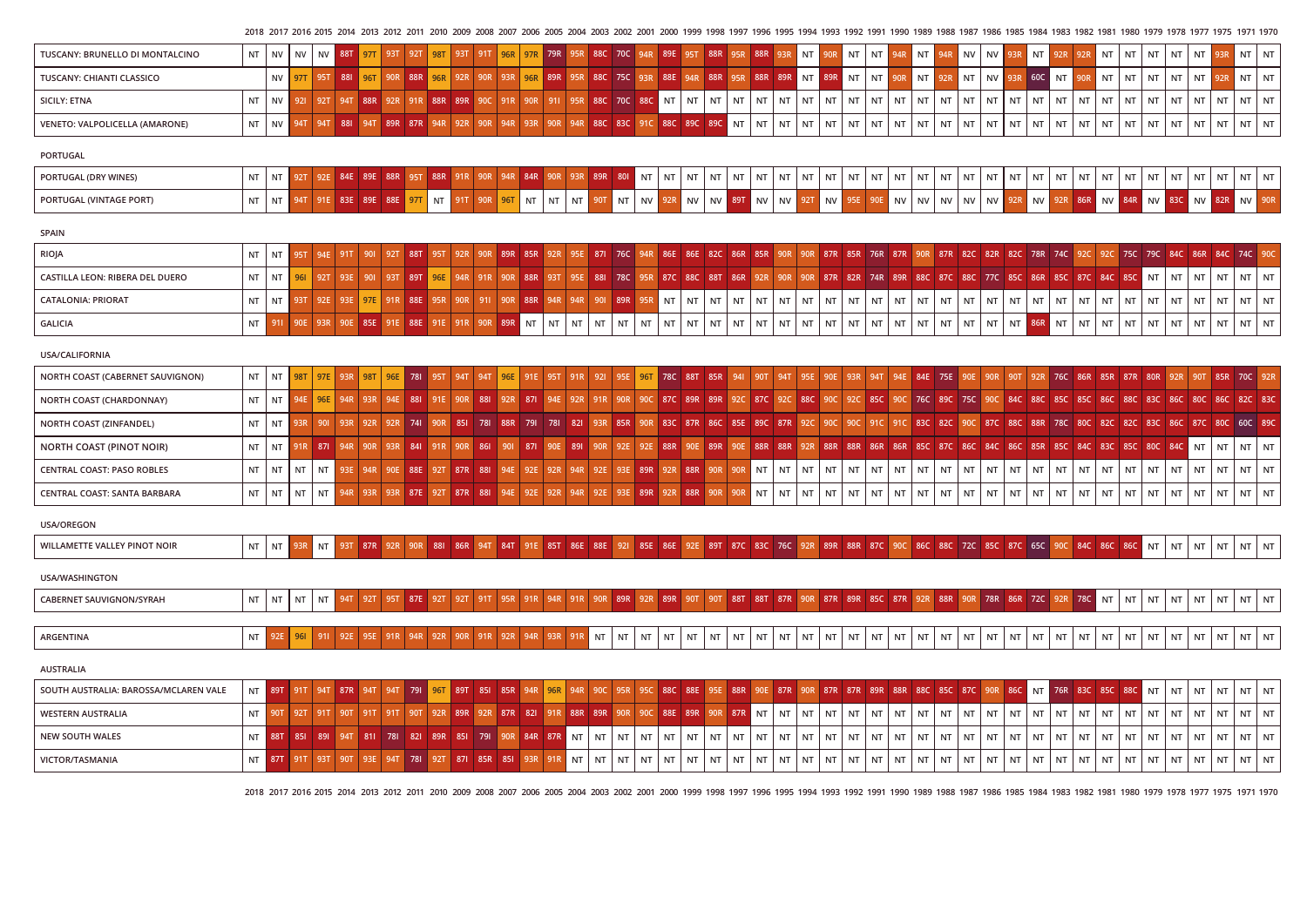**2017 2016 2015 2014 2013 2012 2011 2010 2009 2008 2007 2006 2005 2004 2003 2002 2001 2000 1999 1998 1997 1996 1995 1994 1993 1992 1991 1990 1989 1988 1987 1986 1985 1984 1983 1982 1981 1980 1979 1978 1977 1975 1971 1970 2018**

| <sup>1</sup> TUSCANY: BRUNELLO DI MONTALCINO | NT   |                 | NV NV NV 88T |  |  |            |            |     |  |  |              | <b>88C</b> | $-$ ooC 70C $0$ |     |     |     | 89E 95T 88R                                                    | 95R 88R |    |         |  |            | 93R NT 90R NT NT 94R NT                              |   |  | 94R NV NV 93R NT 9 |    |         |       | $\blacksquare$ NT $\blacksquare$ | 5.17 | NT I       |                 | NT NT                       | <b>NT</b> | NT        |
|----------------------------------------------|------|-----------------|--------------|--|--|------------|------------|-----|--|--|--------------|------------|-----------------|-----|-----|-----|----------------------------------------------------------------|---------|----|---------|--|------------|------------------------------------------------------|---|--|--------------------|----|---------|-------|----------------------------------|------|------------|-----------------|-----------------------------|-----------|-----------|
| TUSCANY: CHIANTI CLASSICO                    |      | NV <sub>b</sub> |              |  |  |            |            |     |  |  | <b>B</b> 89R |            |                 |     |     |     |                                                                |         |    |         |  |            | 88C 75C 93R 88E 94R 88R 95R 88R 89R NT 89R NT NT 90R | N |  | l NT l             | NV | 93R 60C | NT 90 | NT                               |      | <b>NIT</b> | NT              | INT.                        |           | $NT$ $NT$ |
| SICILY: ETNA                                 | ALT. | <b>NV</b>       |              |  |  |            | <b>88R</b> | 89R |  |  |              | 88C        | 70C             | 88C |     |     | $\overline{\vert}$ NT $\vert$ NT $\vert$ NT $\vert$ NT $\vert$ |         | NΤ | NT   NT |  | <b>NI7</b> |                                                      |   |  |                    |    |         |       | <b>NIT</b>                       |      |            | $\mathsf{I}$ NT | l NT                        |           | NT NT     |
| VENETO: VALPOLICELLA (AMARONE)               | NT I | NV              |              |  |  | <b>87P</b> |            |     |  |  |              | <b>88C</b> | <b>83C</b>      |     | 88C | 89C |                                                                |         |    |         |  |            |                                                      |   |  |                    |    |         |       |                                  |      |            | NT              | $\overline{\phantom{a}}$ NT |           | $NT$ NT   |

## **PORTUGAL**

| PORTUGAL (DRY WINES)    | ΝT | - IV I |  | --- |  |      |  |      |    |      |            | --    | <b>AIT</b> | NT     | 'N)          | IN I |                   |            | $\ddot{\phantom{0}}$ | <b>NIT</b> | NT<br>- IV 1 | ו צו      | NI.   |   | <b>A F</b> | NT | $\mathbf{N}$ | - IN I | IN L |                                      |            | 5.17 | <b>NIT</b><br>- IN 1 | $\sim$ $\sim$ $\sim$<br>INI | NT   | NT |
|-------------------------|----|--------|--|-----|--|------|--|------|----|------|------------|-------|------------|--------|--------------|------|-------------------|------------|----------------------|------------|--------------|-----------|-------|---|------------|----|--------------|--------|------|--------------------------------------|------------|------|----------------------|-----------------------------|------|----|
| PORTUGAL (VINTAGE PORT) | ΝT | IV I   |  | --- |  | IV L |  | IV L | NT | IV L | <b>IVI</b> | IVV I |            | 14 V 1 | $\mathbf{N}$ |      | NN/<br><b>IVV</b> | <b>NIV</b> |                      | <b>NV</b>  |              | <b>NV</b> | I V V | . |            |    | <b>IVV</b>   |        |      | <b>AB</b><br>$\mathbf{I} \mathbf{V}$ | <b>IVV</b> |      | IVV                  |                             | I NV |    |

| SPAIN                           |  |  |  |                                                                                                                                                                         |  |  |  |  |  |  |  |  |  |                                                                                                                       |  |  |  |  |                                         |  |  |  |    |       |  |
|---------------------------------|--|--|--|-------------------------------------------------------------------------------------------------------------------------------------------------------------------------|--|--|--|--|--|--|--|--|--|-----------------------------------------------------------------------------------------------------------------------|--|--|--|--|-----------------------------------------|--|--|--|----|-------|--|
| RIOJA                           |  |  |  | 901 92T 88T 95T 92R 90R 89R 85R 92R 95E 871 76C 94R 86E 86E 82C 86R 85R 90R 90R 87R 85R 76R 87R 90R 87R 82C 82R 82C 78R 74C 92C 78R 74C 92C 75C 79C 84C 86R 84C 74C 90C |  |  |  |  |  |  |  |  |  |                                                                                                                       |  |  |  |  |                                         |  |  |  |    |       |  |
| CASTILLA LEON: RIBERA DEL DUERO |  |  |  | 901 93T 89T 96E 94R 91R 90R 88R 93T 95E 881 78C 95R 87C 88C 88T 86R 92R 90R 90R 87R 82R 74R 89R 88C 87C 88C 77C 85C 86R 85C 87C 84C 85C NT NT NT                        |  |  |  |  |  |  |  |  |  |                                                                                                                       |  |  |  |  |                                         |  |  |  | NT | NT NT |  |
| <b>CATALONIA: PRIORAT</b>       |  |  |  |                                                                                                                                                                         |  |  |  |  |  |  |  |  |  | $\sqrt{95R}$ NT $\sqrt{NT}$ NT $\sqrt{NT}$ NT $\sqrt{NT}$ NT $\sqrt{NT}$ NT $\sqrt{NT}$ NT $\sqrt{NT}$ NT $\sqrt{NT}$ |  |  |  |  | INT INT INT INT INT INT INT INT INT INT |  |  |  |    | NT NT |  |
| GALICIA                         |  |  |  |                                                                                                                                                                         |  |  |  |  |  |  |  |  |  | <u>INT INT INT INT INT I</u>                                                                                          |  |  |  |  | NT  86R  NT   NT   NT   NT   NT         |  |  |  |    | NT NT |  |

| USA/CALIFORNIA                      |  |  |  |  |  |  |  |  |  |  |  |  |  |  |  |  |  |  |  |  |  |                                                                                                                                                                                                 |  |
|-------------------------------------|--|--|--|--|--|--|--|--|--|--|--|--|--|--|--|--|--|--|--|--|--|-------------------------------------------------------------------------------------------------------------------------------------------------------------------------------------------------|--|
| NORTH COAST (CABERNET SAUVIGNON)    |  |  |  |  |  |  |  |  |  |  |  |  |  |  |  |  |  |  |  |  |  |                                                                                                                                                                                                 |  |
| NORTH COAST (CHARDONNAY)            |  |  |  |  |  |  |  |  |  |  |  |  |  |  |  |  |  |  |  |  |  | NT 94E 96E 94R 93R 94E 88I 91E 90R 88I 92R 87I 94E 92R 91R 90R 90C 87C 89R 89R 92C 87C 92C 88C 90C 92C 85C 90C 75C 89C 75C 90C 84C 88C 85C 85C 86C 83C 86C 80C 86C 80C 82C 82C 83C              |  |
| NORTH COAST (ZINFANDEL)             |  |  |  |  |  |  |  |  |  |  |  |  |  |  |  |  |  |  |  |  |  | NT 93R 901 93R 92R 92R 741 90R 851 781 88R 791 781 821 93R 85R 90R 83C 87R 86C 85E 89C 87R 92C 90C 90C 90C 91C 83C 82C 80C 87C 88C 88R 78C 80C 82C 82C 83C 86C 87C 80C 60C 80C                  |  |
| NORTH COAST (PINOT NOIR)            |  |  |  |  |  |  |  |  |  |  |  |  |  |  |  |  |  |  |  |  |  | NT 91R 871 94R 90R 93R 841 91R 90R 861 901 871 90E 891 90R 92E 88R 92E 88R 90E 88R 90E 88R 98R 92R 88R 88R 88R 86R 86C 87C 86C 84C 86C 84C 85C 84C 83C 85C 86C 84C 83C 85C 86C 84C 87T NT NT NT |  |
| CENTRAL COAST: PASO ROBLES          |  |  |  |  |  |  |  |  |  |  |  |  |  |  |  |  |  |  |  |  |  |                                                                                                                                                                                                 |  |
| <b>CENTRAL COAST: SANTA BARBARA</b> |  |  |  |  |  |  |  |  |  |  |  |  |  |  |  |  |  |  |  |  |  |                                                                                                                                                                                                 |  |

| <b>USA/OREGON</b>            |        |      |                        |        |              |         |     |  |                                         |           |    |     |            |       |    |                             |    |    |    |  |  |  |  |  |  |                                                                                                                                                                  |  |
|------------------------------|--------|------|------------------------|--------|--------------|---------|-----|--|-----------------------------------------|-----------|----|-----|------------|-------|----|-----------------------------|----|----|----|--|--|--|--|--|--|------------------------------------------------------------------------------------------------------------------------------------------------------------------|--|
| WILLAMETTE VALLEY PINOT NOIR | NT NT  |      | 93R NT                 |        |              |         |     |  |                                         |           |    |     |            |       |    |                             |    |    |    |  |  |  |  |  |  | 93T 87R 92R 90R 88I 86R 94T 84T 91E 85T 86E 88E 92I 85E 86E 92E 89T 87C 83C 76C 92R 89R 88R 87C 90C 86C 88C 72C 85C 85C 86C 86C 86C 86C 86C NT NT NT NT NT NT NT |  |
| USA/WASHINGTON               |        |      |                        |        |              |         |     |  |                                         |           |    |     |            |       |    |                             |    |    |    |  |  |  |  |  |  |                                                                                                                                                                  |  |
| CABERNET SAUVIGNON/SYRAH     |        | l NT | NT .<br>N <sub>T</sub> |        | $\sqrt{951}$ | 87E 92T | 92T |  |                                         |           |    |     |            |       |    |                             |    |    |    |  |  |  |  |  |  | 90R 89R 92R 89R 90T 90T 88T 88T 87R 90R 87R 89R 85C 87R 92R 88R 90R 78R 86R 72C 92R 78C NT NT NT NT NT NT NT NT NT                                               |  |
|                              |        |      |                        |        |              |         |     |  |                                         |           |    |     |            |       |    |                             |    |    |    |  |  |  |  |  |  |                                                                                                                                                                  |  |
| ARGENTINA                    | NT 92E |      | 961<br>911             | $-92F$ |              |         |     |  | 95E 91R 94R 92R 90R 91R 92R 94R 93R 91R | <b>NT</b> | NT | NT. | $'$ NT $ $ | NT NT | NT | $'$ NT $\vert$<br><b>NT</b> | NT | NT | NT |  |  |  |  |  |  |                                                                                                                                                                  |  |
| <b>AUSTRALIA</b>             |        |      |                        |        |              |         |     |  |                                         |           |    |     |            |       |    |                             |    |    |    |  |  |  |  |  |  |                                                                                                                                                                  |  |

| SOUTH AUSTRALIA: BAROSSA/MCLAREN VALE | <b>NT 89T</b> |  |  |                                 |  |  |  |  |  |  |  |  |  |  |  |  |  |  |  |  |  |                                                                                                                                                                                                                              |  |
|---------------------------------------|---------------|--|--|---------------------------------|--|--|--|--|--|--|--|--|--|--|--|--|--|--|--|--|--|------------------------------------------------------------------------------------------------------------------------------------------------------------------------------------------------------------------------------|--|
| <b>WESTERN AUSTRALIA</b>              |               |  |  |                                 |  |  |  |  |  |  |  |  |  |  |  |  |  |  |  |  |  |                                                                                                                                                                                                                              |  |
| NEW SOUTH WALES                       |               |  |  |                                 |  |  |  |  |  |  |  |  |  |  |  |  |  |  |  |  |  | 17   185   189   1947   181   178   182   189R   85R   79   190R   84R   87R   177   177   177   177   177   177   177   177   177   177   177   177   177   177   177   177   177   177   177   177   177   177   177   177 |  |
| <b>VICTOR/TASMANIA</b>                |               |  |  | 90T 93E 94T 78I 92T 87I 85R 85I |  |  |  |  |  |  |  |  |  |  |  |  |  |  |  |  |  |                                                                                                                                                                                                                              |  |

2018 2017 2016 2015 2014 2013 2012 2011 2010 2009 2008 2007 2006 2005 2004 2003 2002 2001 2000 1999 1998 1997 1996 1995 1994 1993 1992 1991 1990 1989 1988 1987 1986 1985 1984 1983 1982 1981 1980 1979 1979 1977 1975 1971 197